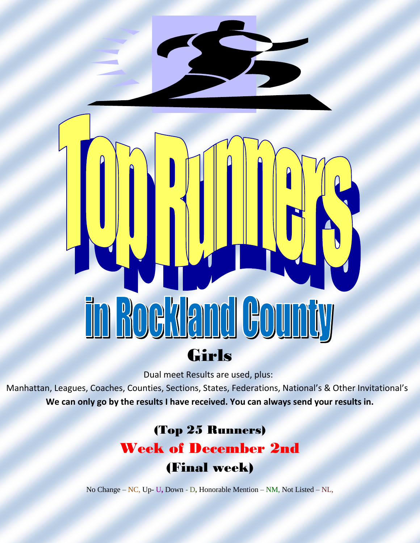# rd Cou Boeklan Girls

Dual meet Results are used, plus:

Manhattan, Leagues, Coaches, Counties, Sections, States, Federations, National's & Other Invitational's **We can only go by the results I have received. You can always send your results in.**

# (Top 25 Runners)

# Week of December 2nd

# (Final week)

No Change – NC, Up- U**,** Down - D**,** Honorable Mention – NM, Not Listed – NL,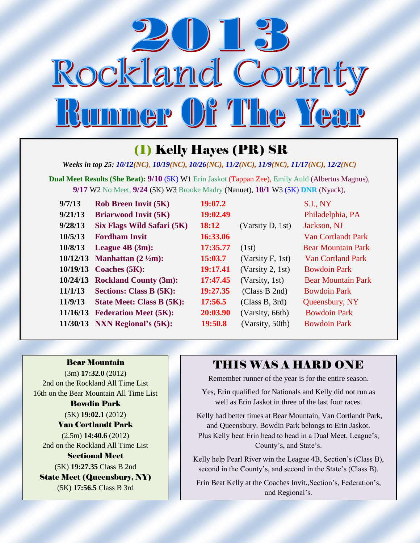

# (1) Kelly Hayes (PR) SR

*Weeks in top 25: 10/12(NC), 10/19(NC), 10/26(NC), 11/2(NC), 11/9(NC), 11/17(NC), 12/2(NC)*

**Dual Meet Results (She Beat): 9/10** (5K) W1 Erin Jaskot (Tappan Zee), Emily Auld (Albertus Magnus), **9/17** W2 No Meet, **9/24** (5K) W3 Brooke Madry (Nanuet), **10/1** W3 (5K) **DNR** (Nyack),

| 9/7/13   | <b>Rob Breen Invit (5K)</b>           | 19:07.2  |                     | <b>S.I., NY</b>           |
|----------|---------------------------------------|----------|---------------------|---------------------------|
| 9/21/13  | <b>Briarwood Invit (5K)</b>           | 19:02.49 |                     | Philadelphia, PA          |
| 9/28/13  | Six Flags Wild Safari (5K)            | 18:12    | (Varsity D, 1st)    | Jackson, NJ               |
| 10/5/13  | <b>Fordham Invit</b>                  | 16:33.06 |                     | <b>Van Cortlandt Park</b> |
| 10/8/13  | League $4B(3m)$ :                     | 17:35.77 | (1st)               | <b>Bear Mountain Park</b> |
| 10/12/13 | <b>Manhattan</b> $(2 \frac{1}{2}m)$ : | 15:03.7  | (Varsity $F$ , 1st) | <b>Van Cortland Park</b>  |
| 10/19/13 | Coaches (5K):                         | 19:17.41 | (Varsity 2, 1st)    | <b>Bowdoin Park</b>       |
| 10/24/13 | <b>Rockland County (3m):</b>          | 17:47.45 | (Varsity, 1st)      | <b>Bear Mountain Park</b> |
| 11/1/13  | <b>Sections: Class B (5K):</b>        | 19:27.35 | (Class B 2nd)       | <b>Bowdoin Park</b>       |
| 11/9/13  | <b>State Meet: Class B (5K):</b>      | 17:56.5  | (Class B, 3rd)      | Queensbury, NY            |
| 11/16/13 | <b>Federation Meet (5K):</b>          | 20:03.90 | (Varsity, 66th)     | <b>Bowdoin Park</b>       |
| 11/30/13 | <b>NXN Regional's (5K):</b>           | 19:50.8  | (Varsity, 50th)     | <b>Bowdoin Park</b>       |

Bear Mountain (3m) **17:32.0** (2012) 2nd on the Rockland All Time List 16th on the Bear Mountain All Time List Bowdin Park (5K) **19:02.1** (2012) Van Cortlandt Park (2.5m) **14:40.6** (2012) 2nd on the Rockland All Time List Sectional Meet (5K) **19:27.35** Class B 2nd State Meet (Queensbury, NY) (5K) **17:56.5** Class B 3rd

#### THIS WAS A HARD ONE

Remember runner of the year is for the entire season.

Yes, Erin qualified for Nationals and Kelly did not run as well as Erin Jaskot in three of the last four races.

Kelly had better times at Bear Mountain, Van Cortlandt Park, and Queensbury. Bowdin Park belongs to Erin Jaskot. Plus Kelly beat Erin head to head in a Dual Meet, League's, County's, and State's.

Kelly help Pearl River win the League 4B, Section's (Class B), second in the County's, and second in the State's (Class B).

Erin Beat Kelly at the Coaches Invit.,Section's, Federation's, and Regional's.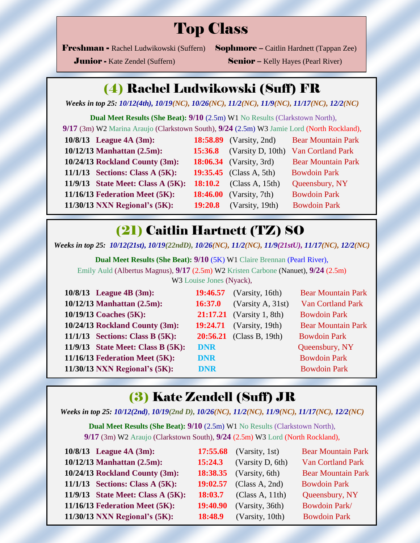# Top Class

Freshman - Rachel Ludwikowski (Suffern) Sophmore – Caitlin Hardnett (Tappan Zee)

**Junior -** Kate Zendel (Suffern) Senior – Kelly Hayes (Pearl River)

#### (4) Rachel Ludwikowski (Suff) FR

*Weeks in top 25: 10/12(4th), 10/19(NC), 10/26(NC), 11/2(NC), 11/9(NC), 11/17(NC), 12/2(NC)*

**Dual Meet Results (She Beat): 9/10** (2.5m) W1 No Results (Clarkstown North), **9/17** (3m) W2 Marina Araujo (Clarkstown South), **9/24** (2.5m) W3 Jamie Lord (North Rockland), **10/8/13 League 4A (3m): 18:58.89** (Varsity, 2nd) Bear Mountain Park  **10/12/13 Manhattan (2.5m): 15:36.8** (Varsity D, 10th) Van Cortland Park **10/24/13 Rockland County (3m): 18:06.34** (Varsity, 3rd) Bear Mountain Park  **11/1/13 Sections: Class A (5K): 19:35.45** (Class A, 5th) Bowdoin Park **11/9/13 State Meet: Class A (5K): 18:10.2** (Class A, 15th) Queensbury, NY **11/16/13 Federation Meet (5K): 18:46.00** (Varsity, 7th)Bowdoin Park **11/30/13 NXN Regional's (5K): 19:20.8** (Varsity, 19th) Bowdoin Park

#### (21) Caitlin Hartnett (TZ) SO

*Weeks in top 25: 10/12(21st), 10/19(22ndD), 10/26(NC), 11/2(NC), 11/9(21stU), 11/17(NC), 12/2(NC)*

**Dual Meet Results (She Beat): 9/10** (5K) W1 Claire Brennan (Pearl River), Emily Auld (Albertus Magnus), **9/17** (2.5m) W2 Kristen Carbone (Nanuet), **9/24** (2.5m) W3 Louise Jones (Nyack),

| 10/8/13 League 4B (3m):           |            | <b>19:46.57</b> (Varsity, 16th)  | <b>Bear Mountain Park</b> |
|-----------------------------------|------------|----------------------------------|---------------------------|
| 10/12/13 Manhattan (2.5m):        | 16:37.0    | (Varsity A, 31st)                | <b>Van Cortland Park</b>  |
| 10/19/13 Coaches (5K):            |            | <b>21:17.21</b> (Varsity 1, 8th) | <b>Bowdoin Park</b>       |
| 10/24/13 Rockland County (3m):    |            | <b>19:24.71</b> (Varsity, 19th)  | <b>Bear Mountain Park</b> |
| $11/1/13$ Sections: Class B (5K): |            | <b>20:56.21</b> (Class B, 19th)  | <b>Bowdoin Park</b>       |
| 11/9/13 State Meet: Class B (5K): | <b>DNR</b> |                                  | Queensbury, NY            |
| 11/16/13 Federation Meet (5K):    | <b>DNR</b> |                                  | <b>Bowdoin Park</b>       |
| 11/30/13 NXN Regional's (5K):     | <b>DNR</b> |                                  | <b>Bowdoin Park</b>       |

#### (3) Kate Zendell (Suff) JR

*Weeks in top 25: 10/12(2nd), 10/19(2nd D), 10/26(NC), 11/2(NC), 11/9(NC), 11/17(NC), 12/2(NC)*

**Dual Meet Results (She Beat): 9/10** (2.5m) W1 No Results (Clarkstown North), **9/17** (3m) W2 Araujo (Clarkstown South), **9/24** (2.5m) W3 Lord (North Rockland),

| 10/8/13 League 4A (3m):              |          | <b>17:55.68</b> (Varsity, 1st) | <b>Bear Mountain Park</b> |
|--------------------------------------|----------|--------------------------------|---------------------------|
| 10/12/13 Manhattan (2.5m):           | 15:24.3  | (Varsity D, 6th)               | <b>Van Cortland Park</b>  |
| 10/24/13 Rockland County (3m):       |          | <b>18:38.35</b> (Varsity, 6th) | <b>Bear Mountain Park</b> |
| $11/1/13$ Sections: Class A $(5K)$ : |          | 19:02.57 (Class A, 2nd)        | <b>Bowdoin Park</b>       |
| 11/9/13 State Meet: Class A (5K):    | 18:03.7  | (Class A, 11th)                | Queensbury, NY            |
| 11/16/13 Federation Meet (5K):       | 19:40.90 | (Varsity, 36th)                | Bowdoin Park/             |
| $11/30/13$ NXN Regional's $(5K)$ :   | 18:48.9  | (Varsity, 10th)                | <b>Bowdoin Park</b>       |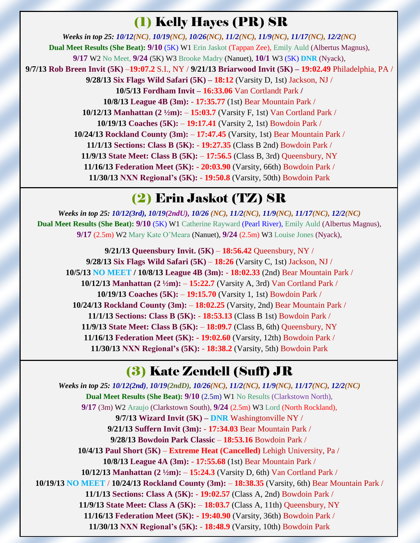# (1) Kelly Hayes (PR) SR

*Weeks in top 25: 10/12(NC), 10/19(NC), 10/26(NC), 11/2(NC), 11/9(NC), 11/17(NC), 12/2(NC)* **Dual Meet Results (She Beat): 9/10** (5K) W1 Erin Jaskot (Tappan Zee), Emily Auld (Albertus Magnus), **9/17** W2 No Meet, **9/24** (5K) W3 Brooke Madry (Nanuet), **10/1** W3 (5K) **DNR** (Nyack), **9/7/13 Rob Breen Invit (5K)** –**19:07.2** S.I., NY / **9/21/13 Briarwood Invit (5K) – 19:02.49** Philadelphia, PA / **9/28/13 Six Flags Wild Safari (5K) – 18:12** (Varsity D, 1st) Jackson, NJ / **10/5/13 Fordham Invit – 16:33.06** Van Cortlandt Park **/ 10/8/13 League 4B (3m):** - **17:35.77** (1st) Bear Mountain Park / **10/12/13 Manhattan (2 ½m):** – **15:03.7** (Varsity F, 1st) Van Cortland Park / **10/19/13 Coaches (5K):** – **19:17.41** (Varsity 2, 1st) Bowdoin Park / **10/24/13 Rockland County (3m):** – **17:47.45** (Varsity, 1st) Bear Mountain Park / **11/1/13 Sections: Class B (5K):** - **19:27.35** (Class B 2nd) Bowdoin Park / **11/9/13 State Meet: Class B (5K):** – **17:56.5** (Class B, 3rd) Queensbury, NY **11/16/13 Federation Meet (5K): - 20:03.90** (Varsity, 66th) Bowdoin Park / **11/30/13 NXN Regional's (5K):** - **19:50.8** (Varsity, 50th) Bowdoin Park

# (2) Erin Jaskot (TZ) SR

*Weeks in top 25: 10/12(3rd), 10/19(2ndU), 10/26 (NC), 11/2(NC), 11/9(NC), 11/17(NC), 12/2(NC)* **Dual Meet Results (She Beat): 9/10** (5K) W1 Catherine Rayward (Pearl River), Emily Auld (Albertus Magnus), **9/17** (2.5m) W2 Mary Kate O'Meara (Nanuet), **9/24** (2.5m) W3 Louise Jones (Nyack),

**9/21/13 Queensbury Invit. (5K)** – **18:56.42** Queensbury, NY / **9/28/13 Six Flags Wild Safari (5K)** – **18:26** (Varsity C, 1st) Jackson, NJ / **10/5/13 NO MEET / 10/8/13 League 4B (3m):** - **18:02.33** (2nd) Bear Mountain Park / **10/12/13 Manhattan (2 ½m):** – **15:22.7** (Varsity A, 3rd) Van Cortland Park / **10/19/13 Coaches (5K):** – **19:15.70** (Varsity 1, 1st) Bowdoin Park / **10/24/13 Rockland County (3m):** – **18:02.25** (Varsity, 2nd) Bear Mountain Park / **11/1/13 Sections: Class B (5K):** - **18:53.13** (Class B 1st) Bowdoin Park / **11/9/13 State Meet: Class B (5K):** – **18:09.7** (Class B, 6th) Queensbury, NY **11/16/13 Federation Meet (5K): - 19:02.60** (Varsity, 12th) Bowdoin Park / **11/30/13 NXN Regional's (5K):** - **18:38.2** (Varsity, 5th) Bowdoin Park

# (3) Kate Zendell (Suff) JR

*Weeks in top 25: 10/12(2nd), 10/19(2ndD), 10/26(NC), 11/2(NC), 11/9(NC), 11/17(NC), 12/2(NC)* **Dual Meet Results (She Beat): 9/10** (2.5m) W1 No Results (Clarkstown North), **9/17** (3m) W2 Araujo (Clarkstown South), **9/24** (2.5m) W3 Lord (North Rockland), **9/7/13 Wizard Invit (5K) – DNR** Washingtonville NY / **9/21/13 Suffern Invit (3m):** - **17:34.03** Bear Mountain Park / **9/28/13 Bowdoin Park Classic** – **18:53.16** Bowdoin Park / **10/4/13 Paul Short (5K)** – **Extreme Heat (Cancelled)** Lehigh University, Pa / **10/8/13 League 4A (3m):** - **17:55.68** (1st) Bear Mountain Park / **10/12/13 Manhattan (2 ½m):** – **15:24.3** (Varsity D, 6th) Van Cortland Park / **10/19/13 NO MEET** / **10/24/13 Rockland County (3m):** – **18:38.35** (Varsity, 6th) Bear Mountain Park / **11/1/13 Sections: Class A (5K):** - **19:02.57** (Class A, 2nd) Bowdoin Park / **11/9/13 State Meet: Class A (5K):** – **18:03.7** (Class A, 11th) Queensbury, NY **11/16/13 Federation Meet (5K): - 19:40.90** (Varsity, 36th) Bowdoin Park / **11/30/13 NXN Regional's (5K):** - **18:48.9** (Varsity, 10th) Bowdoin Park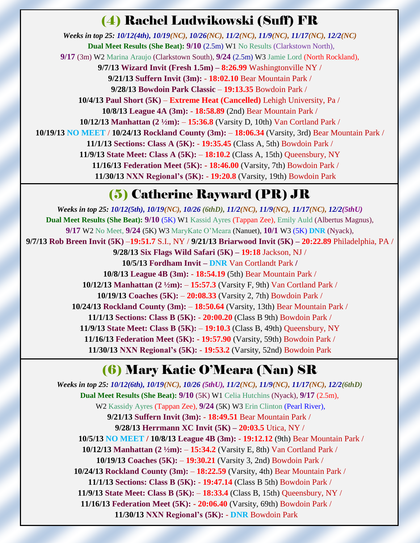#### (4) Rachel Ludwikowski (Suff) FR

*Weeks in top 25: 10/12(4th), 10/19(NC), 10/26(NC), 11/2(NC), 11/9(NC), 11/17(NC), 12/2(NC)* **Dual Meet Results (She Beat): 9/10** (2.5m) W1 No Results (Clarkstown North), **9/17** (3m) W2 Marina Araujo (Clarkstown South), **9/24** (2.5m) W3 Jamie Lord (North Rockland), **9/7/13 Wizard Invit (Fresh 1.5m) – 8:26.99** Washingtonville NY / **9/21/13 Suffern Invit (3m):** - **18:02.10** Bear Mountain Park / **9/28/13 Bowdoin Park Classic** – **19:13.35** Bowdoin Park / **10/4/13 Paul Short (5K)** – **Extreme Heat (Cancelled)** Lehigh University, Pa / **10/8/13 League 4A (3m):** - **18:58.89** (2nd) Bear Mountain Park / **10/12/13 Manhattan (2 ½m):** – **15:36.8** (Varsity D, 10th) Van Cortland Park / **10/19/13 NO MEET** / **10/24/13 Rockland County (3m):** – **18:06.34** (Varsity, 3rd) Bear Mountain Park / **11/1/13 Sections: Class A (5K):** - **19:35.45** (Class A, 5th) Bowdoin Park / **11/9/13 State Meet: Class A (5K):** – **18:10.2** (Class A, 15th) Queensbury, NY **11/16/13 Federation Meet (5K): - 18:46.00** (Varsity, 7th) Bowdoin Park / **11/30/13 NXN Regional's (5K):** - **19:20.8** (Varsity, 19th) Bowdoin Park

# (5) Catherine Rayward (PR) JR

*Weeks in top 25: 10/12(5th), 10/19(NC), 10/26 (6thD), 11/2(NC), 11/9(NC), 11/17(NC), 12/2(5thU)* **Dual Meet Results (She Beat): 9/10** (5K) W1 Kassid Ayres (Tappan Zee), Emily Auld (Albertus Magnus), **9/17** W2 No Meet, **9/24** (5K) W3 MaryKate O'Meara (Nanuet), **10/1** W3 (5K) **DNR** (Nyack), **9/7/13 Rob Breen Invit (5K)** –**19:51.7** S.I., NY / **9/21/13 Briarwood Invit (5K) – 20:22.89** Philadelphia, PA / **9/28/13 Six Flags Wild Safari (5K) – 19:18** Jackson, NJ / **10/5/13 Fordham Invit – DNR** Van Cortlandt Park **/ 10/8/13 League 4B (3m):** - **18:54.19** (5th) Bear Mountain Park / **10/12/13 Manhattan (2 ½m):** – **15:57.3** (Varsity F, 9th) Van Cortland Park / **10/19/13 Coaches (5K):** – **20:08.33** (Varsity 2, 7th) Bowdoin Park / **10/24/13 Rockland County (3m):** – **18:50.64** (Varsity, 13th) Bear Mountain Park / **11/1/13 Sections: Class B (5K):** - **20:00.20** (Class B 9th) Bowdoin Park / **11/9/13 State Meet: Class B (5K):** – **19:10.3** (Class B, 49th) Queensbury, NY **11/16/13 Federation Meet (5K): - 19:57.90** (Varsity, 59th) Bowdoin Park / **11/30/13 NXN Regional's (5K):** - **19:53.2** (Varsity, 52nd) Bowdoin Park

# (6) Mary Katie O'Meara (Nan) SR

*Weeks in top 25: 10/12(6th), 10/19(NC), 10/26 (5thU), 11/2(NC), 11/9(NC), 11/17(NC), 12/2(6thD)* **Dual Meet Results (She Beat): 9/10** (5K) W1 Celia Hutchins (Nyack), **9/17** (2.5m), W2 Kassidy Ayres (Tappan Zee), **9/24** (5K) W3 Erin Clinton (Pearl River), **9/21/13 Suffern Invit (3m):** - **18:49.51** Bear Mountain Park / **9/28/13 Herrmann XC Invit (5K) – 20:03.5** Utica, NY /  **10/5/13 NO MEET / 10/8/13 League 4B (3m):** - **19:12.12** (9th) Bear Mountain Park / **10/12/13 Manhattan (2 ½m):** – **15:34.2** (Varsity E, 8th) Van Cortland Park / **10/19/13 Coaches (5K):** – **19:30.21** (Varsity 3, 2nd) Bowdoin Park / **10/24/13 Rockland County (3m):** – **18:22.59** (Varsity, 4th) Bear Mountain Park / **11/1/13 Sections: Class B (5K):** - **19:47.14** (Class B 5th) Bowdoin Park / **11/9/13 State Meet: Class B (5K):** – **18:33.4** (Class B, 15th) Queensbury, NY / **11/16/13 Federation Meet (5K): - 20:06.40** (Varsity, 69th) Bowdoin Park / **11/30/13 NXN Regional's (5K):** - **DNR** Bowdoin Park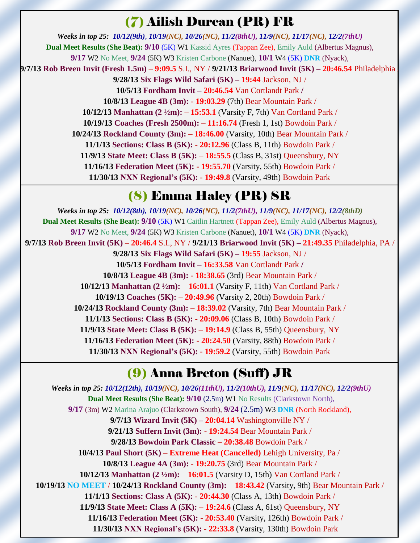# (7) Ailish Durcan (PR) FR

*Weeks in top 25: 10/12(9th), 10/19(NC), 10/26(NC), 11/2(8thU), 11/9(NC), 11/17(NC), 12/2(7thU)* **Dual Meet Results (She Beat): 9/10** (5K) W1 Kassid Ayres (Tappan Zee), Emily Auld (Albertus Magnus), **9/17** W2 No Meet, **9/24** (5K) W3 Kristen Carbone (Nanuet), **10/1** W4 (5K) **DNR** (Nyack), **9/7/13 Rob Breen Invit (Fresh 1.5m)** – **9:09.5** S.I., NY / **9/21/13 Briarwood Invit (5K) – 20:46.54** Philadelphia / **9/28/13 Six Flags Wild Safari (5K) – 19:44** Jackson, NJ / **10/5/13 Fordham Invit – 20:46.54** Van Cortlandt Park **/ 10/8/13 League 4B (3m):** - **19:03.29** (7th) Bear Mountain Park / **10/12/13 Manhattan (2 ½m):** – **15:53.1** (Varsity F, 7th) Van Cortland Park / **10/19/13 Coaches (Fresh 2500m):** – **11:16.74** (Fresh 1, 1st) Bowdoin Park / **10/24/13 Rockland County (3m):** – **18:46.00** (Varsity, 10th) Bear Mountain Park / **11/1/13 Sections: Class B (5K):** - **20:12.96** (Class B, 11th) Bowdoin Park / **11/9/13 State Meet: Class B (5K):** – **18:55.5** (Class B, 31st) Queensbury, NY **11/16/13 Federation Meet (5K): - 19:55.70** (Varsity, 55th) Bowdoin Park / **11/30/13 NXN Regional's (5K):** - **19:49.8** (Varsity, 49th) Bowdoin Park

# (8) Emma Haley (PR) SR

*Weeks in top 25: 10/12(8th), 10/19(NC), 10/26(NC), 11/2(7thU), 11/9(NC), 11/17(NC), 12/2(8thD)* **Dual Meet Results (She Beat): 9/10** (5K) W1 Caitlin Hartnett (Tappan Zee), Emily Auld (Albertus Magnus), **9/17** W2 No Meet, **9/24** (5K) W3 Kristen Carbone (Nanuet), **10/1** W4 (5K) **DNR** (Nyack), **9/7/13 Rob Breen Invit (5K)** – **20:46.4** S.I., NY / **9/21/13 Briarwood Invit (5K) – 21:49.35** Philadelphia, PA / **9/28/13 Six Flags Wild Safari (5K) – 19:55** Jackson, NJ / **10/5/13 Fordham Invit – 16:33.58** Van Cortlandt Park **/ 10/8/13 League 4B (3m):** - **18:38.65** (3rd) Bear Mountain Park / **10/12/13 Manhattan (2 ½m):** – **16:01.1** (Varsity F, 11th) Van Cortland Park / **10/19/13 Coaches (5K):** – **20:49.96** (Varsity 2, 20th) Bowdoin Park / **10/24/13 Rockland County (3m):** – **18:39.02** (Varsity, 7th) Bear Mountain Park / **11/1/13 Sections: Class B (5K):** - **20:09.06** (Class B, 10th) Bowdoin Park / **11/9/13 State Meet: Class B (5K):** – **19:14.9** (Class B, 55th) Queensbury, NY **11/16/13 Federation Meet (5K): - 20:24.50** (Varsity, 88th) Bowdoin Park / **11/30/13 NXN Regional's (5K):** - **19:59.2** (Varsity, 55th) Bowdoin Park

# (9) Anna Breton (Suff) JR

*Weeks in top 25: 10/12(12th), 10/19(NC), 10/26(11thU), 11/2(10thU), 11/9(NC), 11/17(NC), 12/2(9thU)* **Dual Meet Results (She Beat): 9/10** (2.5m) W1 No Results (Clarkstown North), **9/17** (3m) W2 Marina Arajuo (Clarkstown South), **9/24** (2.5m) W3 **DNR** (North Rockland), **9/7/13 Wizard Invit (5K) – 20:04.14** Washingtonville NY / **9/21/13 Suffern Invit (3m):** - **19:24.54** Bear Mountain Park / **9/28/13 Bowdoin Park Classic** – **20:38.48** Bowdoin Park / **10/4/13 Paul Short (5K)** – **Extreme Heat (Cancelled)** Lehigh University, Pa / **10/8/13 League 4A (3m):** - **19:20.75** (3rd) Bear Mountain Park / **10/12/13 Manhattan (2 ½m):** – **16:01.5** (Varsity D, 15th) Van Cortland Park / **10/19/13 NO MEET** / **10/24/13 Rockland County (3m):** – **18:43.42** (Varsity, 9th) Bear Mountain Park / **11/1/13 Sections: Class A (5K):** - **20:44.30** (Class A, 13th) Bowdoin Park / **11/9/13 State Meet: Class A (5K):** – **19:24.6** (Class A, 61st) Queensbury, NY **11/16/13 Federation Meet (5K): - 20:53.40** (Varsity, 126th) Bowdoin Park / **11/30/13 NXN Regional's (5K):** - **22:33.8** (Varsity, 130th) Bowdoin Park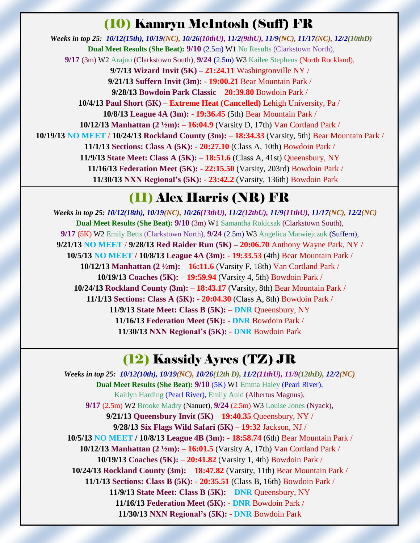# (10) Kamryn McIntosh (Suff) FR

*Weeks in top 25: 10/12(15th), 10/19(NC), 10/26(10thU), 11/2(9thU), 11/9(NC), 11/17(NC), 12/2(10thD)* **Dual Meet Results (She Beat): 9/10** (2.5m) W1 No Results (Clarkstown North), **9/17** (3m) W2 Arajuo (Clarkstown South), **9/24** (2.5m) W3 Kailee Stephens (North Rockland), **9/7/13 Wizard Invit (5K) – 21:24.11** Washingtonville NY / **9/21/13 Suffern Invit (3m):** - **19:00.21** Bear Mountain Park / **9/28/13 Bowdoin Park Classic** – **20:39.80** Bowdoin Park / **10/4/13 Paul Short (5K)** – **Extreme Heat (Cancelled)** Lehigh University, Pa / **10/8/13 League 4A (3m):** - **19:36.45** (5th) Bear Mountain Park / **10/12/13 Manhattan (2 ½m):** – **16:04.9** (Varsity D, 17th) Van Cortland Park / **10/19/13 NO MEET** / **10/24/13 Rockland County (3m):** – **18:34.33** (Varsity, 5th) Bear Mountain Park / **11/1/13 Sections: Class A (5K):** - **20:27.10** (Class A, 10th) Bowdoin Park / **11/9/13 State Meet: Class A (5K):** – **18:51.6** (Class A, 41st) Queensbury, NY **11/16/13 Federation Meet (5K): - 22:15.50** (Varsity, 203rd) Bowdoin Park / **11/30/13 NXN Regional's (5K):** - **23:42.2** (Varsity, 136th) Bowdoin Park

# (11) Alex Harris (NR) FR

 *Weeks in top 25: 10/12(18th), 10/19(NC), 10/26(13thU), 11/2(12thU), 11/9(11thU), 11/17(NC), 12/2(NC)* **Dual Meet Results (She Beat): 9/10** (3m) W1 Samantha Rokicsak (Clarkstown South), **9/17** (5K) W2 Emily Betts (Clarkstown North), **9/24** (2.5m) W3 Angelica Matwiejczuk (Suffern), **9/21/13 NO MEET** / **9/28/13 Red Raider Run (5K) – 20:06.70** Anthony Wayne Park, NY / **10/5/13 NO MEET / 10/8/13 League 4A (3m):** - **19:33.53** (4th) Bear Mountain Park / **10/12/13 Manhattan (2 ½m):** – **16:11.6** (Varsity F, 18th) Van Cortland Park / **10/19/13 Coaches (5K):** – **19:59.94** (Varsity 4, 5th) Bowdoin Park / **10/24/13 Rockland County (3m):** – **18:43.17** (Varsity, 8th) Bear Mountain Park / **11/1/13 Sections: Class A (5K):** - **20:04.30** (Class A, 8th) Bowdoin Park / **11/9/13 State Meet: Class B (5K):** – **DNR** Queensbury, NY **11/16/13 Federation Meet (5K): - DNR** Bowdoin Park / **11/30/13 NXN Regional's (5K):** - **DNR** Bowdoin Park

# (12) Kassidy Ayres (TZ) JR

*Weeks in top 25: 10/12(10th), 10/19(NC), 10/26(12th D), 11/2(11thU), 11/9(12thD), 12/2(NC)* **Dual Meet Results (She Beat): 9/10** (5K) W1 Emma Haley (Pearl River), Kaitlyn Harding (Pearl River), Emily Auld (Albertus Magnus), **9/17** (2.5m) W2 Brooke Madry (Nanuet), **9/24** (2.5m) W3 Louise Jones (Nyack), **9/21/13 Queensbury Invit (5K)** – **19:40.35** Queensbury, NY / **9/28/13 Six Flags Wild Safari (5K)** – **19:32** Jackson, NJ / **10/5/13 NO MEET / 10/8/13 League 4B (3m):** - **18:58.74** (6th) Bear Mountain Park / **10/12/13 Manhattan (2 ½m):** – **16:01.5** (Varsity A, 17th) Van Cortland Park / **10/19/13 Coaches (5K):** – **20:41.82** (Varsity 1, 4th) Bowdoin Park / **10/24/13 Rockland County (3m):** – **18:47.82** (Varsity, 11th) Bear Mountain Park / **11/1/13 Sections: Class B (5K):** - **20:35.51** (Class B, 16th) Bowdoin Park / **11/9/13 State Meet: Class B (5K):** – **DNR** Queensbury, NY **11/16/13 Federation Meet (5K): - DNR** Bowdoin Park / **11/30/13 NXN Regional's (5K):** - **DNR** Bowdoin Park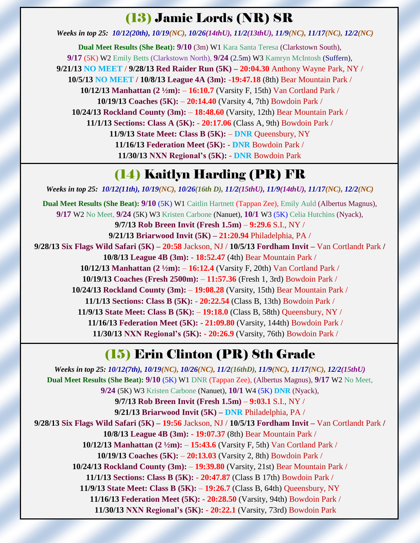#### (13) Jamie Lords (NR) SR

*Weeks in top 25: 10/12(20th), 10/19(NC), 10/26(14thU), 11/2(13thU), 11/9(NC), 11/17(NC), 12/2(NC)*

**Dual Meet Results (She Beat): 9/10** (3m) W1 Kara Santa Teresa (Clarkstown South), **9/17** (5K) W2 Emily Betts (Clarkstown North), **9/24** (2.5m) W3 Kamryn McIntosh (Suffern), **9/21/13 NO MEET** / **9/28/13 Red Raider Run (5K) – 20:04.30** Anthony Wayne Park, NY / **10/5/13 NO MEET / 10/8/13 League 4A (3m):** -**19:47.18** (8th) Bear Mountain Park / **10/12/13 Manhattan (2 ½m):** – **16:10.7** (Varsity F, 15th) Van Cortland Park / **10/19/13 Coaches (5K):** – **20:14.40** (Varsity 4, 7th) Bowdoin Park / **10/24/13 Rockland County (3m):** – **18:48.60** (Varsity, 12th) Bear Mountain Park / **11/1/13 Sections: Class A (5K):** - **20:17.06** (Class A, 9th) Bowdoin Park / **11/9/13 State Meet: Class B (5K):** – **DNR** Queensbury, NY **11/16/13 Federation Meet (5K): - DNR** Bowdoin Park / **11/30/13 NXN Regional's (5K):** - **DNR** Bowdoin Park

# (14) Kaitlyn Harding (PR) FR

*Weeks in top 25: 10/12(11th), 10/19(NC), 10/26(16th D), 11/2(15thU), 11/9(14thU), 11/17(NC), 12/2(NC)* **Dual Meet Results (She Beat): 9/10** (5K) W1 Caitlin Hartnett (Tappan Zee), Emily Auld (Albertus Magnus), **9/17** W2 No Meet, **9/24** (5K) W3 Kristen Carbone (Nanuet), **10/1** W3 (5K) Celia Hutchins (Nyack), **9/7/13 Rob Breen Invit (Fresh 1.5m)** – **9:29.6** S.I., NY / **9/21/13 Briarwood Invit (5K) – 21:20.94** Philadelphia, PA / **9/28/13 Six Flags Wild Safari (5K) – 20:58** Jackson, NJ / **10/5/13 Fordham Invit –** Van Cortlandt Park **/ 10/8/13 League 4B (3m):** - **18:52.47** (4th) Bear Mountain Park / **10/12/13 Manhattan (2 ½m):** – **16:12.4** (Varsity F, 20th) Van Cortland Park / **10/19/13 Coaches (Fresh 2500m):** – **11:57.36** (Fresh 1, 3rd) Bowdoin Park / **10/24/13 Rockland County (3m):** – **19:08.28** (Varsity, 15th) Bear Mountain Park / **11/1/13 Sections: Class B (5K):** - **20:22.54** (Class B, 13th) Bowdoin Park / **11/9/13 State Meet: Class B (5K):** – **19:18.0** (Class B, 58th) Queensbury, NY / **11/16/13 Federation Meet (5K): - 21:09.80** (Varsity, 144th) Bowdoin Park / **11/30/13 NXN Regional's (5K):** - **20:26.9** (Varsity, 76th) Bowdoin Park /

# (15) Erin Clinton (PR) 8th Grade

*Weeks in top 25: 10/12(7th), 10/19(NC), 10/26(NC), 11/2(16thD), 11/9(NC), 11/17(NC), 12/2(15thU)* **Dual Meet Results (She Beat): 9/10** (5K) W1 DNR (Tappan Zee), (Albertus Magnus), **9/17** W2 No Meet, **9/24** (5K) W3 Kristen Carbone (Nanuet), **10/1** W4 (5K) **DNR** (Nyack), **9/7/13 Rob Breen Invit (Fresh 1.5m)** – **9:03.1** S.I., NY / **9/21/13 Briarwood Invit (5K) – DNR** Philadelphia, PA / **9/28/13 Six Flags Wild Safari (5K) – 19:56** Jackson, NJ / **10/5/13 Fordham Invit –** Van Cortlandt Park **/ 10/8/13 League 4B (3m):** - **19:07.37** (8th) Bear Mountain Park / **10/12/13 Manhattan (2 ½m):** – **15:43.6** (Varsity F, 5th) Van Cortland Park / **10/19/13 Coaches (5K):** – **20:13.03** (Varsity 2, 8th) Bowdoin Park / **10/24/13 Rockland County (3m):** – **19:39.80** (Varsity, 21st) Bear Mountain Park / **11/1/13 Sections: Class B (5K):** - **20:47.87** (Class B 17th) Bowdoin Park / **11/9/13 State Meet: Class B (5K):** – **19:26.7** (Class B, 64th) Queensbury, NY **11/16/13 Federation Meet (5K): - 20:28.50** (Varsity, 94th) Bowdoin Park / **11/30/13 NXN Regional's (5K):** - **20:22.1** (Varsity, 73rd) Bowdoin Park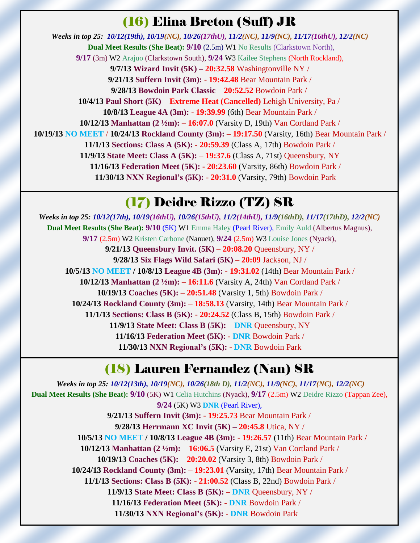#### (16) Elina Breton (Suff) JR

*Weeks in top 25: 10/12(19th), 10/19(NC), 10/26(17thU), 11/2(NC), 11/9(NC), 11/17(16thU), 12/2(NC)* **Dual Meet Results (She Beat): 9/10** (2.5m) W1 No Results (Clarkstown North), **9/17** (3m) W2 Arajuo (Clarkstown South), **9/24** W3 Kailee Stephens (North Rockland), **9/7/13 Wizard Invit (5K) – 20:32.58** Washingtonville NY / **9/21/13 Suffern Invit (3m):** - **19:42.48** Bear Mountain Park / **9/28/13 Bowdoin Park Classic** – **20:52.52** Bowdoin Park / **10/4/13 Paul Short (5K)** – **Extreme Heat (Cancelled)** Lehigh University, Pa / **10/8/13 League 4A (3m):** - **19:39.99** (6th) Bear Mountain Park / **10/12/13 Manhattan (2 ½m):** – **16:07.0** (Varsity D, 19th) Van Cortland Park / **10/19/13 NO MEET** / **10/24/13 Rockland County (3m):** – **19:17.50** (Varsity, 16th) Bear Mountain Park / **11/1/13 Sections: Class A (5K):** - **20:59.39** (Class A, 17th) Bowdoin Park / **11/9/13 State Meet: Class A (5K):** – **19:37.6** (Class A, 71st) Queensbury, NY **11/16/13 Federation Meet (5K): - 20:23.60** (Varsity, 86th) Bowdoin Park / **11/30/13 NXN Regional's (5K):** - **20:31.0** (Varsity, 79th) Bowdoin Park

# (17) Deidre Rizzo (TZ) SR

*Weeks in top 25: 10/12(17th), 10/19(16thU), 10/26(15thU), 11/2(14thU), 11/9(16thD), 11/17(17thD), 12/2(NC)* **Dual Meet Results (She Beat): 9/10** (5K) W1 Emma Haley (Pearl River), Emily Auld (Albertus Magnus), **9/17** (2.5m) W2 Kristen Carbone (Nanuet), **9/24** (2.5m) W3 Louise Jones (Nyack), **9/21/13 Queensbury Invit. (5K)** – **20:08.20** Queensbury, NY / **9/28/13 Six Flags Wild Safari (5K)** – **20:09** Jackson, NJ / **10/5/13 NO MEET / 10/8/13 League 4B (3m):** - **19:31.02** (14th) Bear Mountain Park / **10/12/13 Manhattan (2 ½m):** – **16:11.6** (Varsity A, 24th) Van Cortland Park / **10/19/13 Coaches (5K):** – **20:51.48** (Varsity 1, 5th) Bowdoin Park / **10/24/13 Rockland County (3m):** – **18:58.13** (Varsity, 14th) Bear Mountain Park / **11/1/13 Sections: Class B (5K):** - **20:24.52** (Class B, 15th) Bowdoin Park / **11/9/13 State Meet: Class B (5K):** – **DNR** Queensbury, NY **11/16/13 Federation Meet (5K): - DNR** Bowdoin Park / **11/30/13 NXN Regional's (5K):** - **DNR** Bowdoin Park

# (18) Lauren Fernandez (Nan) SR

*Weeks in top 25: 10/12(13th), 10/19(NC), 10/26(18th D), 11/2(NC), 11/9(NC), 11/17(NC), 12/2(NC)* **Dual Meet Results (She Beat): 9/10** (5K) W1 Celia Hutchins (Nyack), **9/17** (2.5m) W2 Deidre Rizzo (Tappan Zee), **9/24** (5K) W3 **DNR** (Pearl River), **9/21/13 Suffern Invit (3m):** - **19:25.73** Bear Mountain Park / **9/28/13 Herrmann XC Invit (5K) – 20:45.8** Utica, NY /  **10/5/13 NO MEET / 10/8/13 League 4B (3m):** - **19:26.57** (11th) Bear Mountain Park / **10/12/13 Manhattan (2 ½m):** – **16:06.5** (Varsity E, 21st) Van Cortland Park / **10/19/13 Coaches (5K):** – **20:20.02** (Varsity 3, 8th) Bowdoin Park / **10/24/13 Rockland County (3m):** – **19:23.01** (Varsity, 17th) Bear Mountain Park / **11/1/13 Sections: Class B (5K):** - **21:00.52** (Class B, 22nd) Bowdoin Park / **11/9/13 State Meet: Class B (5K):** – **DNR** Queensbury, NY / **11/16/13 Federation Meet (5K): - DNR** Bowdoin Park / **11/30/13 NXN Regional's (5K):** - **DNR** Bowdoin Park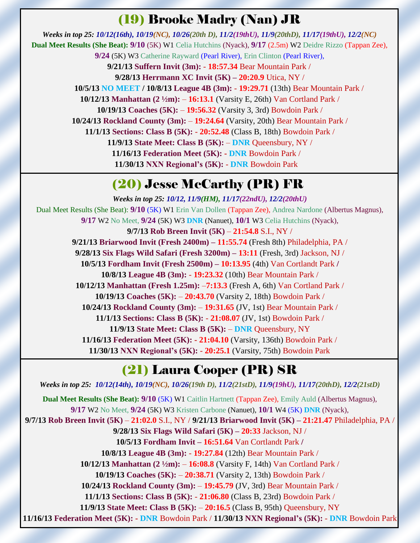#### (19) Brooke Madry (Nan) JR

*Weeks in top 25: 10/12(16th), 10/19(NC), 10/26(20th D), 11/2(19thU), 11/9(20thD), 11/17(19thU), 12/2(NC)* **Dual Meet Results (She Beat): 9/10** (5K) W1 Celia Hutchins (Nyack), **9/17** (2.5m) W2 Deidre Rizzo (Tappan Zee), **9/24** (5K) W3 Catherine Rayward (Pearl River), Erin Clinton (Pearl River), **9/21/13 Suffern Invit (3m):** - **18:57.34** Bear Mountain Park / **9/28/13 Herrmann XC Invit (5K) – 20:20.9** Utica, NY /  **10/5/13 NO MEET / 10/8/13 League 4B (3m):** - **19:29.71** (13th) Bear Mountain Park / **10/12/13 Manhattan (2 ½m):** – **16:13.1** (Varsity E, 26th) Van Cortland Park / **10/19/13 Coaches (5K):** – **19:56.32** (Varsity 3, 3rd) Bowdoin Park / **10/24/13 Rockland County (3m):** – **19:24.64** (Varsity, 20th) Bear Mountain Park / **11/1/13 Sections: Class B (5K):** - **20:52.48** (Class B, 18th) Bowdoin Park / **11/9/13 State Meet: Class B (5K):** – **DNR** Queensbury, NY / **11/16/13 Federation Meet (5K): - DNR** Bowdoin Park / **11/30/13 NXN Regional's (5K):** - **DNR** Bowdoin Park

#### (20) Jesse McCarthy (PR) FR

*Weeks in top 25: 10/12, 11/9(HM), 11/17(22ndU), 12/2(20thU)* Dual Meet Results (She Beat): **9/10** (5K) W1 Erin Van Dollen (Tappan Zee), Andrea Nardone (Albertus Magnus), **9/17** W2 No Meet, **9/24** (5K) W3 **DNR** (Nanuet), **10/1** W3 Celia Hutchins (Nyack), **9/7/13 Rob Breen Invit (5K)** – **21:54.8** S.I., NY / **9/21/13 Briarwood Invit (Fresh 2400m) – 11:55.74** (Fresh 8th) Philadelphia, PA / **9/28/13 Six Flags Wild Safari (Fresh 3200m) – 13:11** (Fresh, 3rd) Jackson, NJ / **10/5/13 Fordham Invit (Fresh 2500m) – 10:13.95** (4th) Van Cortlandt Park **/ 10/8/13 League 4B (3m):** - **19:23.32** (10th) Bear Mountain Park / **10/12/13 Manhattan (Fresh 1.25m):** –**7:13.3** (Fresh A, 6th) Van Cortland Park / **10/19/13 Coaches (5K):** – **20:43.70** (Varsity 2, 18th) Bowdoin Park / **10/24/13 Rockland County (3m):** – **19:31.65** (JV, 1st) Bear Mountain Park / **11/1/13 Sections: Class B (5K):** - **21:08.07** (JV, 1st) Bowdoin Park / **11/9/13 State Meet: Class B (5K):** – **DNR** Queensbury, NY **11/16/13 Federation Meet (5K): - 21:04.10** (Varsity, 136th) Bowdoin Park / **11/30/13 NXN Regional's (5K):** - **20:25.1** (Varsity, 75th) Bowdoin Park

# (21) Laura Cooper (PR) SR

*Weeks in top 25: 10/12(14th), 10/19(NC), 10/26(19th D), 11/2(21stD), 11/9(19hU), 11/17(20thD), 12/2(21stD)* **Dual Meet Results (She Beat): 9/10** (5K) W1 Caitlin Hartnett (Tappan Zee), Emily Auld (Albertus Magnus), **9/17** W2 No Meet, **9/24** (5K) W3 Kristen Carbone (Nanuet), **10/1** W4 (5K) **DNR** (Nyack), **9/7/13 Rob Breen Invit (5K)** – **21:02.0** S.I., NY / **9/21/13 Briarwood Invit (5K) – 21:21.47** Philadelphia, PA / **9/28/13 Six Flags Wild Safari (5K) – 20:33** Jackson, NJ / **10/5/13 Fordham Invit – 16:51.64** Van Cortlandt Park **/ 10/8/13 League 4B (3m):** - **19:27.84** (12th) Bear Mountain Park / **10/12/13 Manhattan (2 ½m):** – **16:08.8** (Varsity F, 14th) Van Cortland Park / **10/19/13 Coaches (5K):** – **20:38.71** (Varsity 2, 13th) Bowdoin Park / **10/24/13 Rockland County (3m):** – **19:45.79** (JV, 3rd) Bear Mountain Park / **11/1/13 Sections: Class B (5K):** - **21:06.80** (Class B, 23rd) Bowdoin Park / **11/9/13 State Meet: Class B (5K):** – **20:16.5** (Class B, 95th) Queensbury, NY **11/16/13 Federation Meet (5K): - DNR** Bowdoin Park / **11/30/13 NXN Regional's (5K):** - **DNR** Bowdoin Park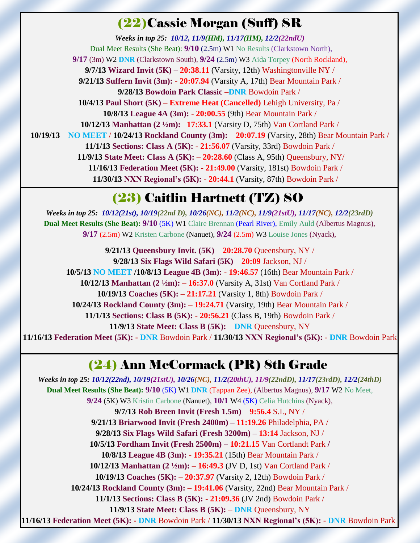#### (22)Cassie Morgan (Suff) SR

*Weeks in top 25: 10/12, 11/9(HM), 11/17(HM), 12/2(22ndU)* Dual Meet Results (She Beat): **9/10** (2.5m) W1 No Results (Clarkstown North), **9/17** (3m) W2 **DNR** (Clarkstown South), **9/24** (2.5m) W3 Aida Torpey (North Rockland), **9/7/13 Wizard Invit (5K) – 20:38.11** (Varsity, 12th) Washingtonville NY / **9/21/13 Suffern Invit (3m):** - **20:07.94** (Varsity A, 17th) Bear Mountain Park / **9/28/13 Bowdoin Park Classic** –**DNR** Bowdoin Park / **10/4/13 Paul Short (5K)** – **Extreme Heat (Cancelled)** Lehigh University, Pa / **10/8/13 League 4A (3m):** - **20:00.55** (9th) Bear Mountain Park / **10/12/13 Manhattan (2 ½m):** –**17:33.1** (Varsity D, 75th) Van Cortland Park / **10/19/13** – **NO MEET** / **10/24/13 Rockland County (3m):** – **20:07.19** (Varsity, 28th) Bear Mountain Park / **11/1/13 Sections: Class A (5K):** - **21:56.07** (Varsity, 33rd) Bowdoin Park / **11/9/13 State Meet: Class A (5K):** – **20:28.60** (Class A, 95th) Queensbury, NY/ **11/16/13 Federation Meet (5K): - 21:49.00** (Varsity, 181st) Bowdoin Park / **11/30/13 NXN Regional's (5K):** - **20:44.1** (Varsity, 87th) Bowdoin Park /

# (23) Caitlin Hartnett (TZ) SO

*Weeks in top 25: 10/12(21st), 10/19(22nd D), 10/26(NC), 11/2(NC), 11/9(21stU), 11/17(NC), 12/2(23rdD)* **Dual Meet Results (She Beat): 9/10** (5K) W1 Claire Brennan (Pearl River), Emily Auld (Albertus Magnus), **9/17** (2.5m) W2 Kristen Carbone (Nanuet), **9/24** (2.5m) W3 Louise Jones (Nyack),

**9/21/13 Queensbury Invit. (5K)** – **20:28.70** Queensbury, NY / **9/28/13 Six Flags Wild Safari (5K)** – **20:09** Jackson, NJ / **10/5/13 NO MEET /10/8/13 League 4B (3m):** - **19:46.57** (16th) Bear Mountain Park / **10/12/13 Manhattan (2 ½m):** – **16:37.0** (Varsity A, 31st) Van Cortland Park / **10/19/13 Coaches (5K):** – **21:17.21** (Varsity 1, 8th) Bowdoin Park / **10/24/13 Rockland County (3m):** – **19:24.71** (Varsity, 19th) Bear Mountain Park / **11/1/13 Sections: Class B (5K):** - **20:56.21** (Class B, 19th) Bowdoin Park / **11/9/13 State Meet: Class B (5K):** – **DNR** Queensbury, NY **11/16/13 Federation Meet (5K): - DNR** Bowdoin Park / **11/30/13 NXN Regional's (5K):** - **DNR** Bowdoin Park

#### (24) Ann McCormack (PR) 8th Grade

*Weeks in top 25: 10/12(22nd), 10/19(21stU), 10/26(NC), 11/2(20thU), 11/9(22ndD), 11/17(23rdD), 12/2(24thD)* **Dual Meet Results (She Beat): 9/10** (5K) W1 **DNR** (Tappan Zee), (Albertus Magnus), **9/17** W2 No Meet, **9/24** (5K) W3 Kristin Carbone (Nanuet), **10/1** W4 (5K) Celia Hutchins (Nyack), **9/7/13 Rob Breen Invit (Fresh 1.5m)** – **9:56.4** S.I., NY / **9/21/13 Briarwood Invit (Fresh 2400m) – 11:19.26** Philadelphia, PA / **9/28/13 Six Flags Wild Safari (Fresh 3200m) – 13:14** Jackson, NJ / **10/5/13 Fordham Invit (Fresh 2500m) – 10:21.15** Van Cortlandt Park **/ 10/8/13 League 4B (3m):** - **19:35.21** (15th) Bear Mountain Park / **10/12/13 Manhattan (2 ½m):** – **16:49.3** (JV D, 1st) Van Cortland Park / **10/19/13 Coaches (5K):** – **20:37.97** (Varsity 2, 12th) Bowdoin Park / **10/24/13 Rockland County (3m):** – **19:41.06** (Varsity, 22nd) Bear Mountain Park / **11/1/13 Sections: Class B (5K):** - **21:09.36** (JV 2nd) Bowdoin Park / **11/9/13 State Meet: Class B (5K):** – **DNR** Queensbury, NY **11/16/13 Federation Meet (5K): - DNR** Bowdoin Park / **11/30/13 NXN Regional's (5K):** - **DNR** Bowdoin Park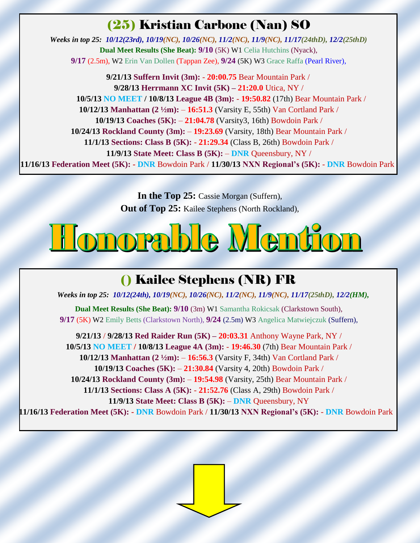#### (25) Kristian Carbone (Nan) SO

*Weeks in top 25: 10/12(23rd), 10/19(NC), 10/26(NC), 11/2(NC), 11/9(NC), 11/17(24thD), 12/2(25thD)* **Dual Meet Results (She Beat): 9/10** (5K) W1 Celia Hutchins (Nyack), **9/17** (2.5m), W2 Erin Van Dollen (Tappan Zee), **9/24** (5K) W3 Grace Raffa (Pearl River),

**9/21/13 Suffern Invit (3m):** - **20:00.75** Bear Mountain Park / **9/28/13 Herrmann XC Invit (5K) – 21:20.0** Utica, NY /  **10/5/13 NO MEET / 10/8/13 League 4B (3m):** - **19:50.82** (17th) Bear Mountain Park / **10/12/13 Manhattan (2 ½m):** – **16:51.3** (Varsity E, 55th) Van Cortland Park / **10/19/13 Coaches (5K):** – **21:04.78** (Varsity3, 16th) Bowdoin Park / **10/24/13 Rockland County (3m):** – **19:23.69** (Varsity, 18th) Bear Mountain Park / **11/1/13 Sections: Class B (5K):** - **21:29.34** (Class B, 26th) Bowdoin Park / **11/9/13 State Meet: Class B (5K):** – **DNR** Queensbury, NY / **11/16/13 Federation Meet (5K): - DNR** Bowdoin Park / **11/30/13 NXN Regional's (5K):** - **DNR** Bowdoin Park

> **In the Top 25:** Cassie Morgan (Suffern), **Out of Top 25:** Kailee Stephens (North Rockland),

# <u>Ilonorable Mention</u>

# () Kailee Stephens (NR) FR

*Weeks in top 25: 10/12(24th), 10/19(NC), 10/26(NC), 11/2(NC), 11/9(NC), 11/17(25thD), 12/2(HM),*

**Dual Meet Results (She Beat): 9/10** (3m) W1 Samantha Rokicsak (Clarkstown South), **9/17** (5K) W2 Emily Betts (Clarkstown North), **9/24** (2.5m) W3 Angelica Matwiejczuk (Suffern),

**9/21/13** / **9/28/13 Red Raider Run (5K) – 20:03.31** Anthony Wayne Park, NY / **10/5/13 NO MEET / 10/8/13 League 4A (3m):** - **19:46.30** (7th) Bear Mountain Park / **10/12/13 Manhattan (2 ½m):** – **16:56.3** (Varsity F, 34th) Van Cortland Park / **10/19/13 Coaches (5K):** – **21:30.84** (Varsity 4, 20th) Bowdoin Park / **10/24/13 Rockland County (3m):** – **19:54.98** (Varsity, 25th) Bear Mountain Park / **11/1/13 Sections: Class A (5K):** - **21:52.76** (Class A, 29th) Bowdoin Park / **11/9/13 State Meet: Class B (5K):** – **DNR** Queensbury, NY **11/16/13 Federation Meet (5K): - DNR** Bowdoin Park / **11/30/13 NXN Regional's (5K):** - **DNR** Bowdoin Park